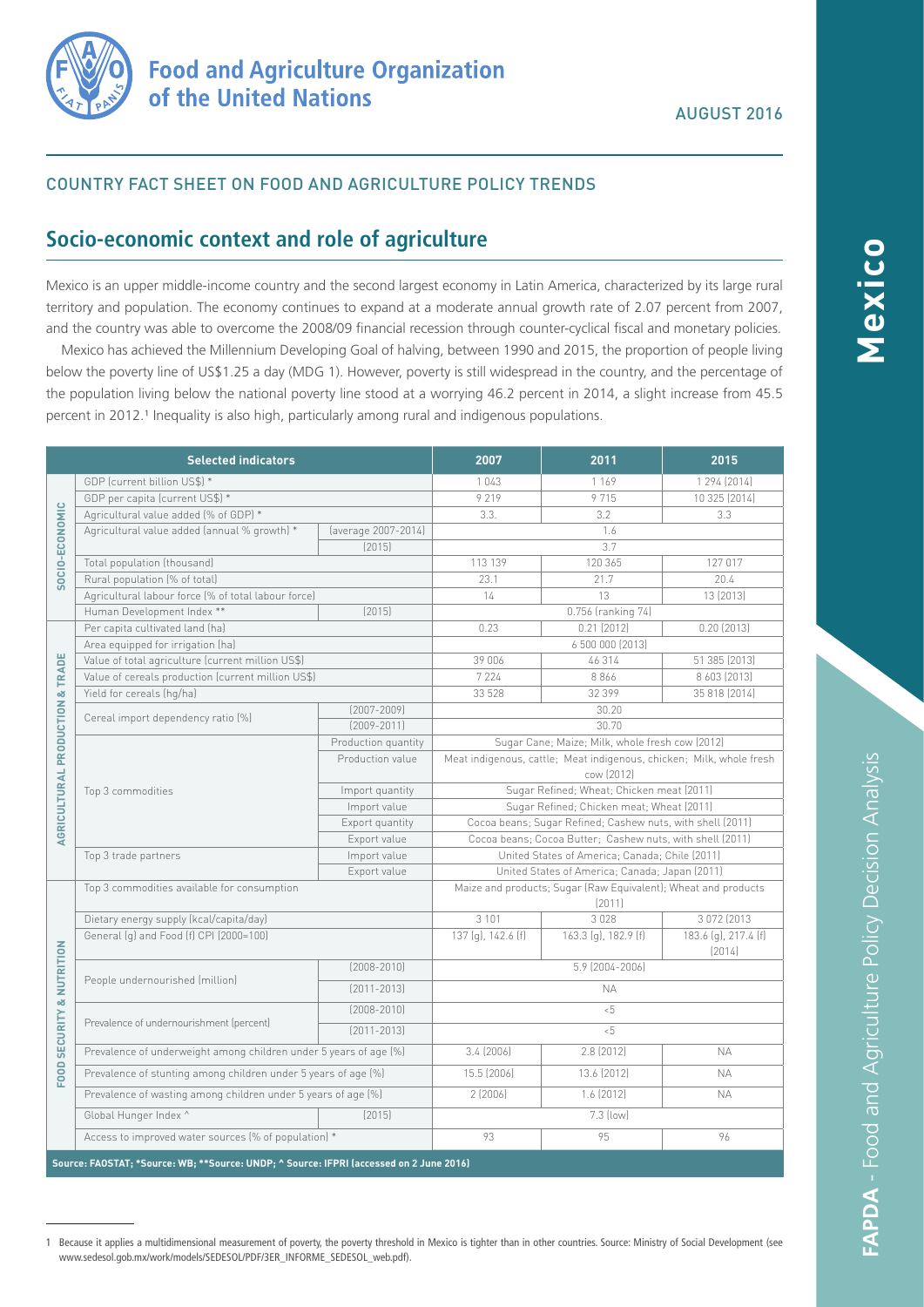

## COUNTRY FACT SHEET ON FOOD AND AGRICULTURE POLICY TRENDS

# **Socio-economic context and role of agriculture**

Mexico is an upper middle-income country and the second largest economy in Latin America, characterized by its large rural territory and population. The economy continues to expand at a moderate annual growth rate of 2.07 percent from 2007, and the country was able to overcome the 2008/09 financial recession through counter-cyclical fiscal and monetary policies.

Mexico has achieved the Millennium Developing Goal of halving, between 1990 and 2015, the proportion of people living below the poverty line of US\$1.25 a day (MDG 1). However, poverty is still widespread in the country, and the percentage of the population living below the national poverty line stood at a worrying 46.2 percent in 2014, a slight increase from 45.5 percent in 2012.<sup>1</sup> Inequality is also high, particularly among rural and indigenous populations.

| <b>Selected indicators</b>                                                              |                                                                     | 2007                | 2011                                                                     | 2015                 |                                |
|-----------------------------------------------------------------------------------------|---------------------------------------------------------------------|---------------------|--------------------------------------------------------------------------|----------------------|--------------------------------|
| SOCIO-ECONOMIC                                                                          | GDP (current billion US\$) *                                        |                     | 1043                                                                     | 1 169                | 1 294 (2014)                   |
|                                                                                         | GDP per capita (current US\$) *                                     |                     | 9219                                                                     | 9715                 | 10 325 (2014)                  |
|                                                                                         | Agricultural value added (% of GDP) *                               |                     | 3.3.                                                                     | 3.2                  | 3.3                            |
|                                                                                         | Agricultural value added (annual % growth) *<br>(average 2007-2014) |                     | 1.6                                                                      |                      |                                |
|                                                                                         |                                                                     | [2015]              |                                                                          | 3.7                  |                                |
|                                                                                         | Total population (thousand)                                         |                     | 113 139                                                                  | 120 365              | 127 017                        |
|                                                                                         | Rural population (% of total)                                       |                     | 23.1                                                                     | 21.7                 | 20.4                           |
|                                                                                         | Agricultural labour force (% of total labour force)                 |                     | 14                                                                       | 13                   | 13 (2013)                      |
|                                                                                         | Human Development Index **                                          | [2015]              |                                                                          | 0.756 (ranking 74)   |                                |
| AGRICULTURAL PRODUCTION & TRADE                                                         | Per capita cultivated land (ha)                                     |                     | 0.23                                                                     | 0.21(2012)           | $0.20$ (2013)                  |
|                                                                                         | Area equipped for irrigation (ha)                                   |                     | 6 500 000 (2013)                                                         |                      |                                |
|                                                                                         | Value of total agriculture (current million US\$)                   |                     | 39 006                                                                   | 46314                | 51 385 (2013)                  |
|                                                                                         | Value of cereals production (current million US\$)                  |                     | 7 2 2 4                                                                  | 8866                 | 8 603 (2013)                   |
|                                                                                         | Yield for cereals (hg/ha)                                           |                     | 33 528                                                                   | 32 399               | 35 818 (2014)                  |
|                                                                                         | Cereal import dependency ratio (%)                                  | $[2007 - 2009]$     | 30.20                                                                    |                      |                                |
|                                                                                         |                                                                     | $[2009 - 2011]$     | 30.70                                                                    |                      |                                |
|                                                                                         | Top 3 commodities                                                   | Production quantity | Sugar Cane; Maize; Milk, whole fresh cow (2012)                          |                      |                                |
|                                                                                         |                                                                     | Production value    | Meat indigenous, cattle; Meat indigenous, chicken; Milk, whole fresh     |                      |                                |
|                                                                                         |                                                                     |                     | cow (2012)                                                               |                      |                                |
|                                                                                         |                                                                     | Import quantity     | Sugar Refined; Wheat; Chicken meat (2011)                                |                      |                                |
|                                                                                         |                                                                     | Import value        | Sugar Refined; Chicken meat; Wheat (2011)                                |                      |                                |
|                                                                                         |                                                                     | Export quantity     | Cocoa beans; Sugar Refined; Cashew nuts, with shell (2011)               |                      |                                |
|                                                                                         |                                                                     | Export value        | Cocoa beans; Cocoa Butter; Cashew nuts, with shell (2011)                |                      |                                |
|                                                                                         | Top 3 trade partners<br>Import value                                |                     | United States of America; Canada; Chile (2011)                           |                      |                                |
|                                                                                         | Export value                                                        |                     | United States of America; Canada; Japan (2011)                           |                      |                                |
| FOOD SECURITY & NUTRITION                                                               | Top 3 commodities available for consumption                         |                     | Maize and products; Sugar (Raw Equivalent); Wheat and products<br>(2011) |                      |                                |
|                                                                                         | Dietary energy supply (kcal/capita/day)                             |                     | 3 1 0 1                                                                  | 3028                 | 3 072 (2013)                   |
|                                                                                         | General (g) and Food (f) CPI (2000=100)                             |                     | 137 (g), 142.6 (f)                                                       | 163.3 (g), 182.9 (f) | 183.6 (g), 217.4 (f)<br>[2014] |
|                                                                                         | People undernourished (million)                                     | $(2008 - 2010)$     | 5.9 (2004-2006)                                                          |                      |                                |
|                                                                                         |                                                                     | $[2011 - 2013]$     | <b>NA</b>                                                                |                      |                                |
|                                                                                         | Prevalence of undernourishment (percent)                            | $(2008 - 2010)$     | $5 - 5$                                                                  |                      |                                |
|                                                                                         |                                                                     | $[2011 - 2013]$     | $5 - 5$                                                                  |                      |                                |
|                                                                                         | Prevalence of underweight among children under 5 years of age (%)   |                     | 3.4(2006)                                                                | 2.8 (2012)           | <b>NA</b>                      |
|                                                                                         | Prevalence of stunting among children under 5 years of age [%]      |                     | 15.5 (2006)                                                              | 13.6 (2012)          | <b>NA</b>                      |
|                                                                                         | Prevalence of wasting among children under 5 years of age (%)       |                     | 2(2006)                                                                  | $1.6$ (2012)         | <b>NA</b>                      |
|                                                                                         | Global Hunger Index ^                                               | [2015]              |                                                                          | 7.3 (low)            |                                |
|                                                                                         | Access to improved water sources (% of population) *                |                     | 93                                                                       | 95                   | 96                             |
| Source: FAOSTAT; *Source: WB; **Source: UNDP; ^ Source: IFPRI (accessed on 2 June 2016) |                                                                     |                     |                                                                          |                      |                                |

**FAPDA** - Food and Agriculture Policy Decision Analysis

**FAPDA - Food and Agriculture Policy Decision Analysis** 

1 Because it applies a multidimensional measurement of poverty, the poverty threshold in Mexico is tighter than in other countries. Source: Ministry of Social Development (see www.sedesol.gob.mx/work/models/SEDESOL/PDF/3ER\_INFORME\_SEDESOL\_web.pdf).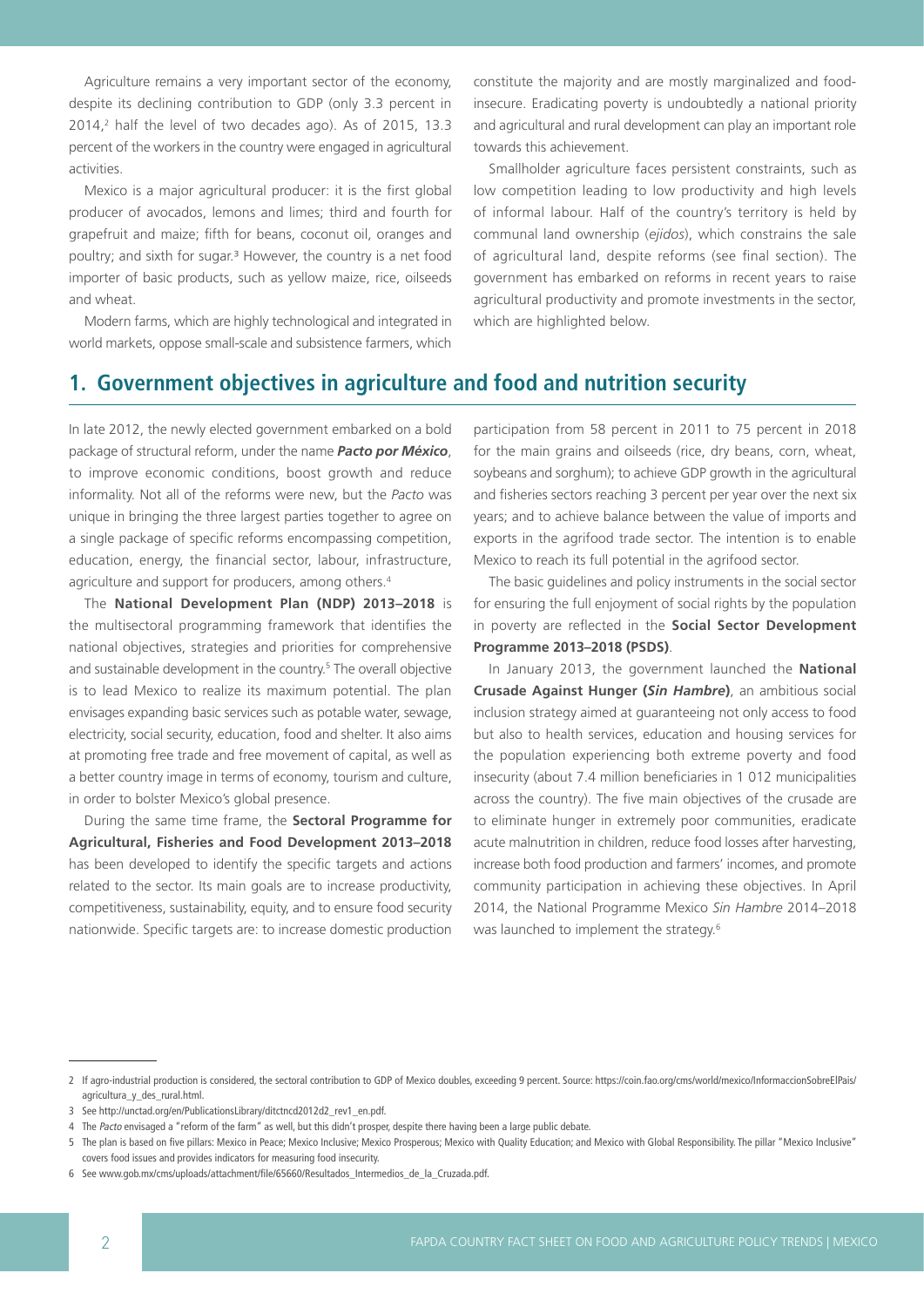Agriculture remains a very important sector of the economy, despite its declining contribution to GDP (only 3.3 percent in 2014,2 half the level of two decades ago). As of 2015, 13.3 percent of the workers in the country were engaged in agricultural activities.

Mexico is a major agricultural producer: it is the first global producer of avocados, lemons and limes; third and fourth for grapefruit and maize; fifth for beans, coconut oil, oranges and poultry; and sixth for sugar.<sup>3</sup> However, the country is a net food importer of basic products, such as yellow maize, rice, oilseeds and wheat.

Modern farms, which are highly technological and integrated in world markets, oppose small-scale and subsistence farmers, which

constitute the majority and are mostly marginalized and foodinsecure. Eradicating poverty is undoubtedly a national priority and agricultural and rural development can play an important role towards this achievement.

Smallholder agriculture faces persistent constraints, such as low competition leading to low productivity and high levels of informal labour. Half of the country's territory is held by communal land ownership (*ejidos*), which constrains the sale of agricultural land, despite reforms (see final section). The government has embarked on reforms in recent years to raise agricultural productivity and promote investments in the sector, which are highlighted below.

## **1. Government objectives in agriculture and food and nutrition security**

In late 2012, the newly elected government embarked on a bold package of structural reform, under the name *Pacto por México*, to improve economic conditions, boost growth and reduce informality. Not all of the reforms were new, but the *Pacto* was unique in bringing the three largest parties together to agree on a single package of specific reforms encompassing competition, education, energy, the financial sector, labour, infrastructure, agriculture and support for producers, among others.<sup>4</sup>

The **National Development Plan (NDP) 2013–2018** is the multisectoral programming framework that identifies the national objectives, strategies and priorities for comprehensive and sustainable development in the country.<sup>5</sup> The overall objective is to lead Mexico to realize its maximum potential. The plan envisages expanding basic services such as potable water, sewage, electricity, social security, education, food and shelter. It also aims at promoting free trade and free movement of capital, as well as a better country image in terms of economy, tourism and culture, in order to bolster Mexico's global presence.

During the same time frame, the **Sectoral Programme for Agricultural, Fisheries and Food Development 2013–2018** has been developed to identify the specific targets and actions related to the sector. Its main goals are to increase productivity, competitiveness, sustainability, equity, and to ensure food security nationwide. Specific targets are: to increase domestic production participation from 58 percent in 2011 to 75 percent in 2018 for the main grains and oilseeds (rice, dry beans, corn, wheat, soybeans and sorghum); to achieve GDP growth in the agricultural and fisheries sectors reaching 3 percent per year over the next six years; and to achieve balance between the value of imports and exports in the agrifood trade sector. The intention is to enable Mexico to reach its full potential in the agrifood sector.

The basic guidelines and policy instruments in the social sector for ensuring the full enjoyment of social rights by the population in poverty are reflected in the **Social Sector Development Programme 2013–2018 (PSDS)**.

In January 2013, the government launched the **National Crusade Against Hunger (***Sin Hambre***)**, an ambitious social inclusion strategy aimed at guaranteeing not only access to food but also to health services, education and housing services for the population experiencing both extreme poverty and food insecurity (about 7.4 million beneficiaries in 1 012 municipalities across the country). The five main objectives of the crusade are to eliminate hunger in extremely poor communities, eradicate acute malnutrition in children, reduce food losses after harvesting, increase both food production and farmers' incomes, and promote community participation in achieving these objectives. In April 2014, the National Programme Mexico *Sin Hambre* 2014–2018 was launched to implement the strategy.6

<sup>2</sup> If agro-industrial production is considered, the sectoral contribution to GDP of Mexico doubles, exceeding 9 percent. Source: https://coin.fao.org/cms/world/mexico/InformaccionSobreElPais/ agricultura\_y\_des\_rural.html.

<sup>3</sup> See http://unctad.org/en/PublicationsLibrary/ditctncd2012d2\_rev1\_en.pdf.

<sup>4</sup> The Pacto envisaged a "reform of the farm" as well, but this didn't prosper, despite there having been a large public debate.

<sup>5</sup> The plan is based on five pillars: Mexico in Peace; Mexico Inclusive; Mexico Prosperous; Mexico with Quality Education; and Mexico with Global Responsibility. The pillar "Mexico Inclusive" covers food issues and provides indicators for measuring food insecurity.

<sup>6</sup> See www.gob.mx/cms/uploads/attachment/file/65660/Resultados\_Intermedios\_de\_la\_Cruzada.pdf.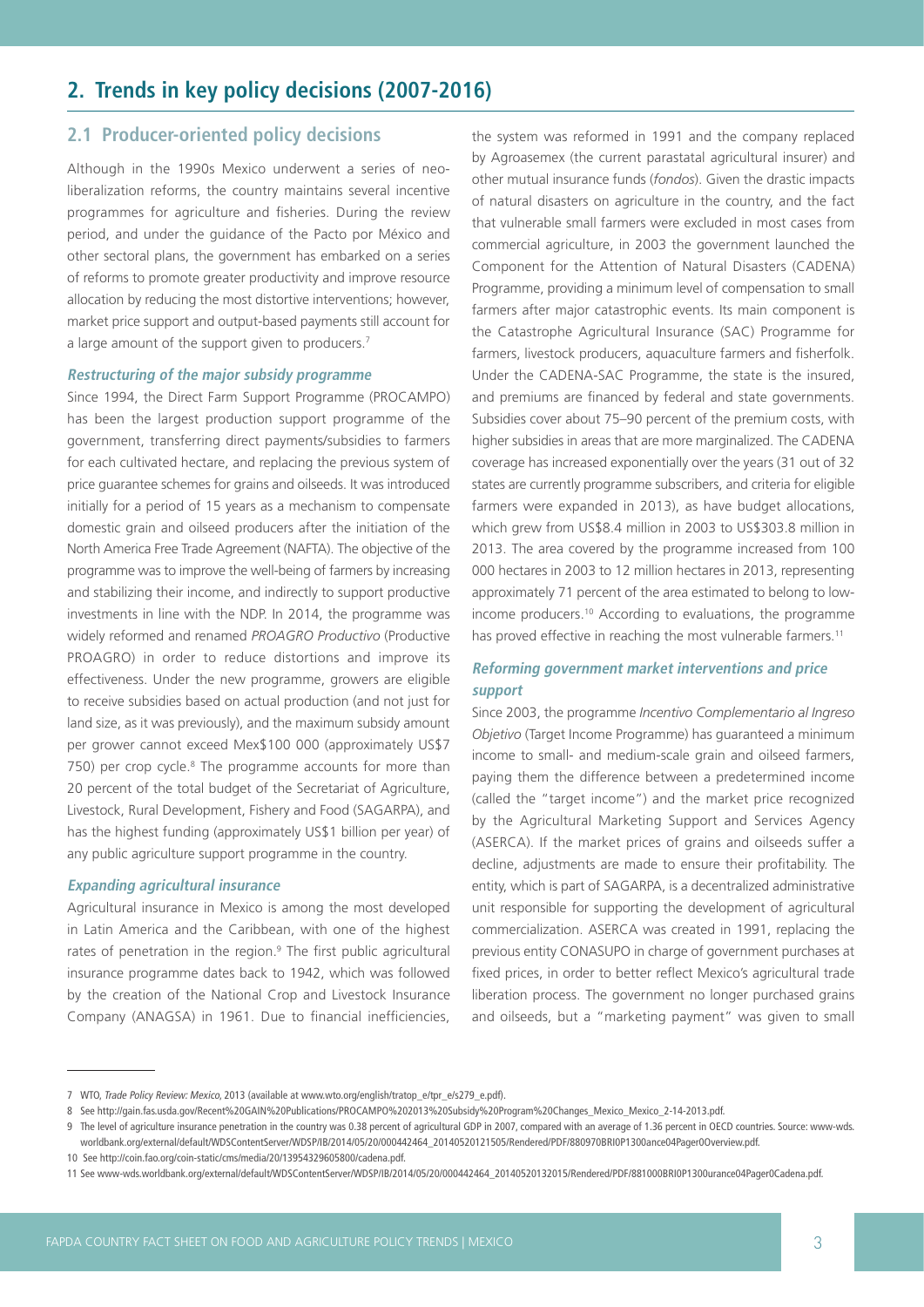# **2. Trends in key policy decisions (2007-2016)**

## **2.1 Producer-oriented policy decisions**

Although in the 1990s Mexico underwent a series of neoliberalization reforms, the country maintains several incentive programmes for agriculture and fisheries. During the review period, and under the guidance of the Pacto por México and other sectoral plans, the government has embarked on a series of reforms to promote greater productivity and improve resource allocation by reducing the most distortive interventions; however, market price support and output-based payments still account for a large amount of the support given to producers.<sup>7</sup>

### **Restructuring of the major subsidy programme**

Since 1994, the Direct Farm Support Programme (PROCAMPO) has been the largest production support programme of the government, transferring direct payments/subsidies to farmers for each cultivated hectare, and replacing the previous system of price guarantee schemes for grains and oilseeds. It was introduced initially for a period of 15 years as a mechanism to compensate domestic grain and oilseed producers after the initiation of the North America Free Trade Agreement (NAFTA). The objective of the programme was to improve the well-being of farmers by increasing and stabilizing their income, and indirectly to support productive investments in line with the NDP. In 2014, the programme was widely reformed and renamed *PROAGRO Productivo* (Productive PROAGRO) in order to reduce distortions and improve its effectiveness. Under the new programme, growers are eligible to receive subsidies based on actual production (and not just for land size, as it was previously), and the maximum subsidy amount per grower cannot exceed Mex\$100 000 (approximately US\$7 750) per crop cycle.<sup>8</sup> The programme accounts for more than 20 percent of the total budget of the Secretariat of Agriculture, Livestock, Rural Development, Fishery and Food (SAGARPA), and has the highest funding (approximately US\$1 billion per year) of any public agriculture support programme in the country.

### **Expanding agricultural insurance**

Agricultural insurance in Mexico is among the most developed in Latin America and the Caribbean, with one of the highest rates of penetration in the region.<sup>9</sup> The first public agricultural insurance programme dates back to 1942, which was followed by the creation of the National Crop and Livestock Insurance Company (ANAGSA) in 1961. Due to financial inefficiencies,

the system was reformed in 1991 and the company replaced by Agroasemex (the current parastatal agricultural insurer) and other mutual insurance funds (*fondos*). Given the drastic impacts of natural disasters on agriculture in the country, and the fact that vulnerable small farmers were excluded in most cases from commercial agriculture, in 2003 the government launched the Component for the Attention of Natural Disasters (CADENA) Programme, providing a minimum level of compensation to small farmers after major catastrophic events. Its main component is the Catastrophe Agricultural Insurance (SAC) Programme for farmers, livestock producers, aquaculture farmers and fisherfolk. Under the CADENA-SAC Programme, the state is the insured, and premiums are financed by federal and state governments. Subsidies cover about 75–90 percent of the premium costs, with higher subsidies in areas that are more marginalized. The CADENA coverage has increased exponentially over the years (31 out of 32 states are currently programme subscribers, and criteria for eligible farmers were expanded in 2013), as have budget allocations, which grew from US\$8.4 million in 2003 to US\$303.8 million in 2013. The area covered by the programme increased from 100 000 hectares in 2003 to 12 million hectares in 2013, representing approximately 71 percent of the area estimated to belong to lowincome producers.10 According to evaluations, the programme has proved effective in reaching the most vulnerable farmers.<sup>11</sup>

## **Reforming government market interventions and price support**

Since 2003, the programme *Incentivo Complementario al Ingreso Objetivo* (Target Income Programme) has guaranteed a minimum income to small- and medium-scale grain and oilseed farmers, paying them the difference between a predetermined income (called the "target income") and the market price recognized by the Agricultural Marketing Support and Services Agency (ASERCA). If the market prices of grains and oilseeds suffer a decline, adjustments are made to ensure their profitability. The entity, which is part of SAGARPA, is a decentralized administrative unit responsible for supporting the development of agricultural commercialization. ASERCA was created in 1991, replacing the previous entity CONASUPO in charge of government purchases at fixed prices, in order to better reflect Mexico's agricultural trade liberation process. The government no longer purchased grains and oilseeds, but a "marketing payment" was given to small

<sup>7</sup> WTO, Trade Policy Review: Mexico, 2013 (available at www.wto.org/english/tratop\_e/tpr\_e/s279\_e.pdf).

<sup>8</sup> See http://gain.fas.usda.gov/Recent%20GAIN%20Publications/PROCAMPO%202013%20Subsidy%20Program%20Changes\_Mexico\_Mexico\_2-14-2013.pdf.

<sup>9</sup> The level of agriculture insurance penetration in the country was 0.38 percent of agricultural GDP in 2007, compared with an average of 1.36 percent in OECD countries. Source: www-wds. worldbank.org/external/default/WDSContentServer/WDSP/IB/2014/05/20/000442464\_20140520121505/Rendered/PDF/880970BRI0P1300ance04Pager0Overview.pdf.

<sup>10</sup> See http://coin.fao.org/coin-static/cms/media/20/13954329605800/cadena.pdf.

<sup>11</sup> See www-wds.worldbank.org/external/default/WDSContentServer/WDSP/IB/2014/05/20/000442464\_20140520132015/Rendered/PDF/881000BRI0P1300urance04Pager0Cadena.pdf.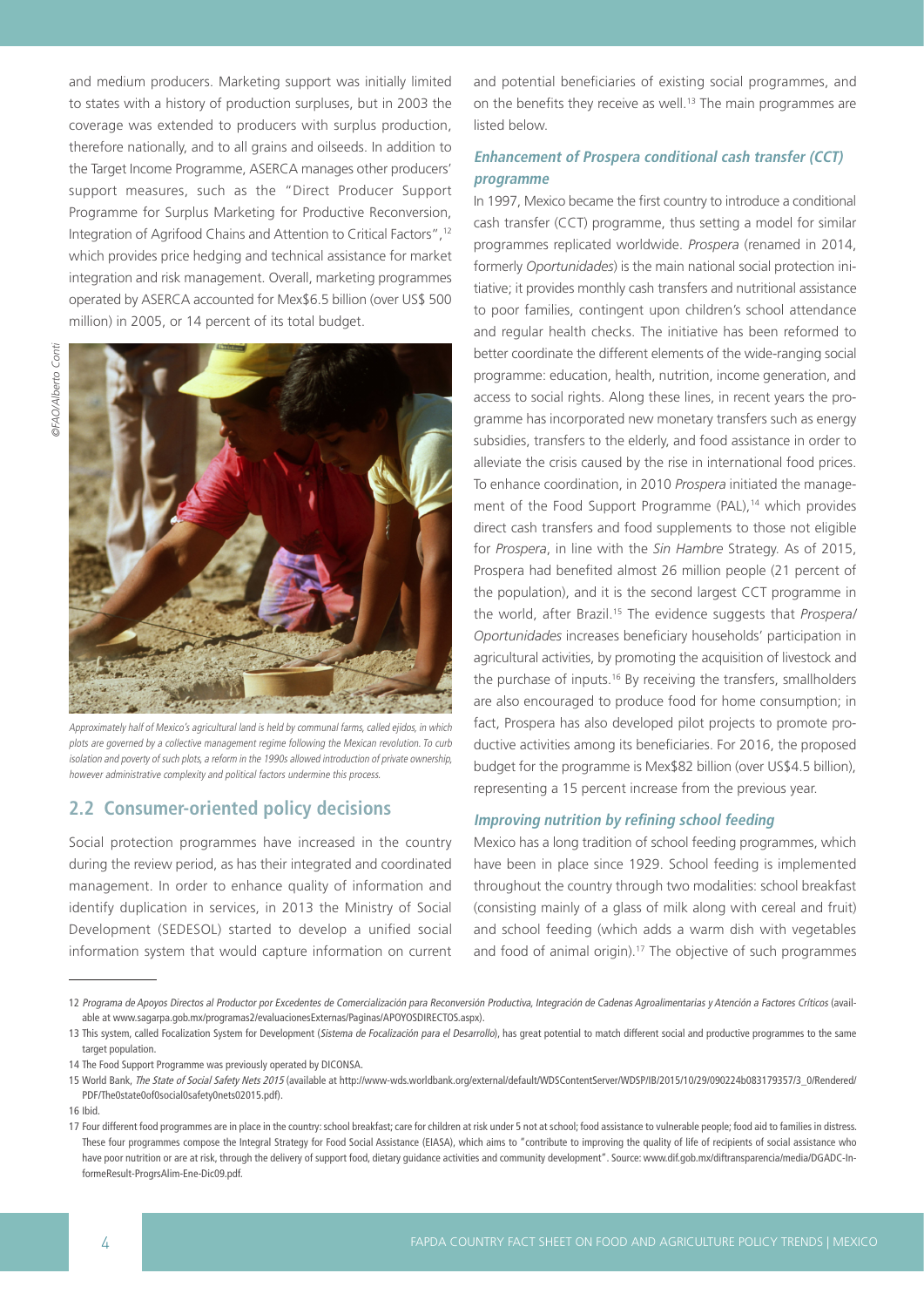and medium producers. Marketing support was initially limited to states with a history of production surpluses, but in 2003 the coverage was extended to producers with surplus production, therefore nationally, and to all grains and oilseeds. In addition to the Target Income Programme, ASERCA manages other producers' support measures, such as the "Direct Producer Support Programme for Surplus Marketing for Productive Reconversion, Integration of Agrifood Chains and Attention to Critical Factors",12 which provides price hedging and technical assistance for market integration and risk management. Overall, marketing programmes operated by ASERCA accounted for Mex\$6.5 billion (over US\$ 500 million) in 2005, or 14 percent of its total budget.



Approximately half of Mexico's agricultural land is held by communal farms, called ejidos, in which plots are governed by a collective management regime following the Mexican revolution. To curb isolation and poverty of such plots, a reform in the 1990s allowed introduction of private ownership, however administrative complexity and political factors undermine this process.

## **2.2 Consumer-oriented policy decisions**

Social protection programmes have increased in the country during the review period, as has their integrated and coordinated management. In order to enhance quality of information and identify duplication in services, in 2013 the Ministry of Social Development (SEDESOL) started to develop a unified social information system that would capture information on current and potential beneficiaries of existing social programmes, and on the benefits they receive as well.<sup>13</sup> The main programmes are listed below.

## **Enhancement of Prospera conditional cash transfer (CCT) programme**

In 1997, Mexico became the first country to introduce a conditional cash transfer (CCT) programme, thus setting a model for similar programmes replicated worldwide. *Prospera* (renamed in 2014, formerly *Oportunidades*) is the main national social protection initiative; it provides monthly cash transfers and nutritional assistance to poor families, contingent upon children's school attendance and regular health checks. The initiative has been reformed to better coordinate the different elements of the wide-ranging social programme: education, health, nutrition, income generation, and access to social rights. Along these lines, in recent years the programme has incorporated new monetary transfers such as energy subsidies, transfers to the elderly, and food assistance in order to alleviate the crisis caused by the rise in international food prices. To enhance coordination, in 2010 *Prospera* initiated the management of the Food Support Programme (PAL),<sup>14</sup> which provides direct cash transfers and food supplements to those not eligible for *Prospera*, in line with the *Sin Hambre* Strategy. As of 2015, Prospera had benefited almost 26 million people (21 percent of the population), and it is the second largest CCT programme in the world, after Brazil.15 The evidence suggests that *Prospera/ Oportunidades* increases beneficiary households' participation in agricultural activities, by promoting the acquisition of livestock and the purchase of inputs.<sup>16</sup> By receiving the transfers, smallholders are also encouraged to produce food for home consumption; in fact, Prospera has also developed pilot projects to promote productive activities among its beneficiaries. For 2016, the proposed budget for the programme is Mex\$82 billion (over US\$4.5 billion), representing a 15 percent increase from the previous year.

### **Improving nutrition by refining school feeding**

Mexico has a long tradition of school feeding programmes, which have been in place since 1929. School feeding is implemented throughout the country through two modalities: school breakfast (consisting mainly of a glass of milk along with cereal and fruit) and school feeding (which adds a warm dish with vegetables and food of animal origin).<sup>17</sup> The objective of such programmes

<sup>12</sup> Programa de Apoyos Directos al Productor por Excedentes de Comercialización para Reconversión Productiva, Integración de Cadenas Agroalimentarias y Atención a Factores Críticos (available at www.sagarpa.gob.mx/programas2/evaluacionesExternas/Paginas/APOYOSDIRECTOS.aspx).

<sup>13</sup> This system, called Focalization System for Development (Sistema de Focalización para el Desarrollo), has great potential to match different social and productive programmes to the same target population.

<sup>14</sup> The Food Support Programme was previously operated by DICONSA.

<sup>15</sup> World Bank, The State of Social Safety Nets 2015 (available at http://www-wds.worldbank.org/external/default/WDSContentServer/WDSP/IB/2015/10/29/090224b083179357/3\_0/Rendered/ PDF/The0state0of0social0safety0nets02015.pdf).

<sup>16</sup> Ibid.

<sup>17</sup> Four different food programmes are in place in the country: school breakfast; care for children at risk under 5 not at school; food assistance to vulnerable people; food aid to families in distress. These four programmes compose the Integral Strategy for Food Social Assistance (EIASA), which aims to "contribute to improving the quality of life of recipients of social assistance who have poor nutrition or are at risk, through the delivery of support food, dietary guidance activities and community development". Source: www.dif.gob.mx/diftransparencia/media/DGADC-InformeResult-ProgrsAlim-Ene-Dic09.pdf.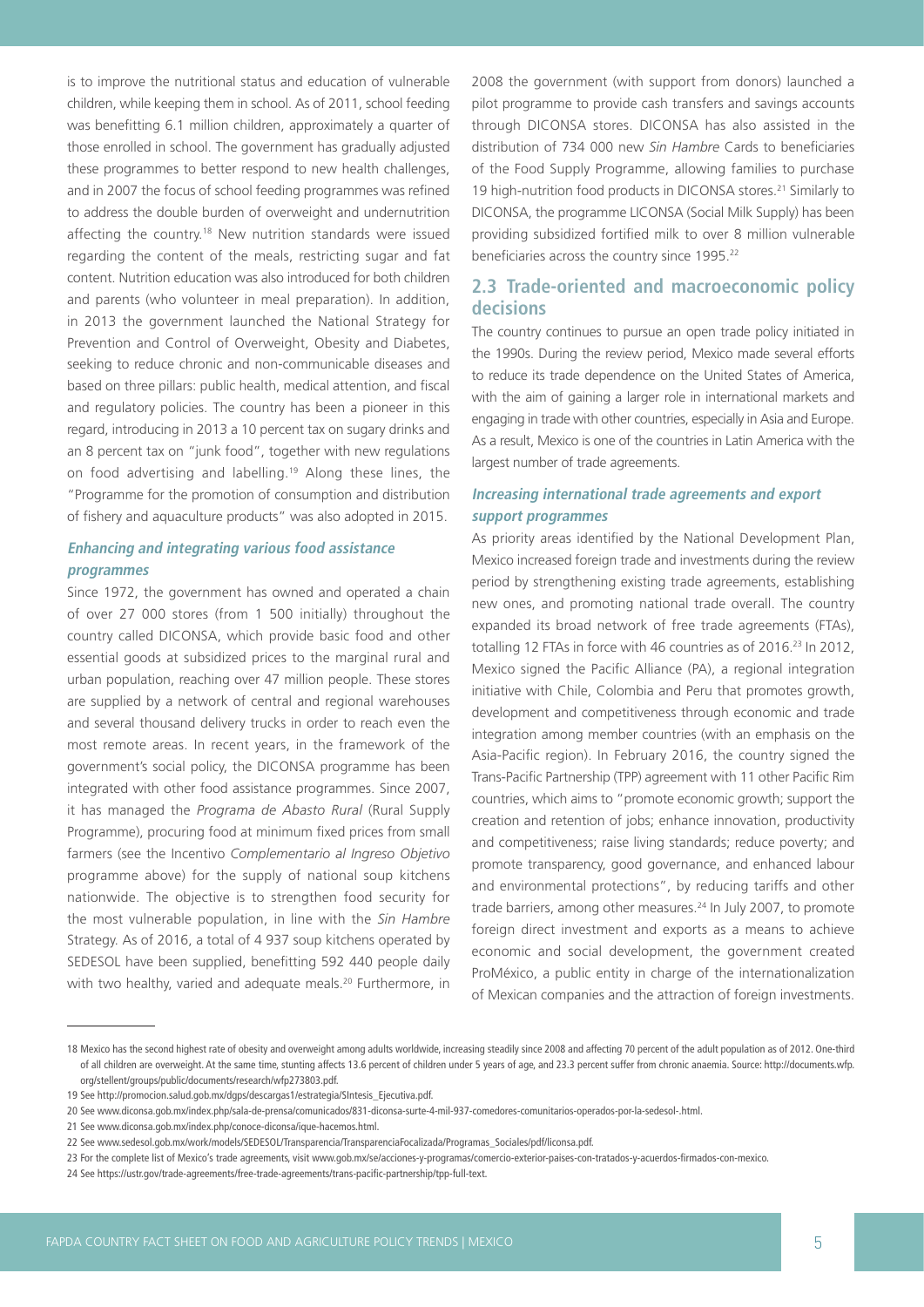is to improve the nutritional status and education of vulnerable children, while keeping them in school. As of 2011, school feeding was benefitting 6.1 million children, approximately a quarter of those enrolled in school. The government has gradually adjusted these programmes to better respond to new health challenges, and in 2007 the focus of school feeding programmes was refined to address the double burden of overweight and undernutrition affecting the country.<sup>18</sup> New nutrition standards were issued regarding the content of the meals, restricting sugar and fat content. Nutrition education was also introduced for both children and parents (who volunteer in meal preparation). In addition, in 2013 the government launched the National Strategy for Prevention and Control of Overweight, Obesity and Diabetes, seeking to reduce chronic and non-communicable diseases and based on three pillars: public health, medical attention, and fiscal and regulatory policies. The country has been a pioneer in this regard, introducing in 2013 a 10 percent tax on sugary drinks and an 8 percent tax on "junk food", together with new regulations on food advertising and labelling.19 Along these lines, the "Programme for the promotion of consumption and distribution of fishery and aquaculture products" was also adopted in 2015.

### **Enhancing and integrating various food assistance programmes**

Since 1972, the government has owned and operated a chain of over 27 000 stores (from 1 500 initially) throughout the country called DICONSA, which provide basic food and other essential goods at subsidized prices to the marginal rural and urban population, reaching over 47 million people. These stores are supplied by a network of central and regional warehouses and several thousand delivery trucks in order to reach even the most remote areas. In recent years, in the framework of the government's social policy, the DICONSA programme has been integrated with other food assistance programmes. Since 2007, it has managed the *Programa de Abasto Rural* (Rural Supply Programme), procuring food at minimum fixed prices from small farmers (see the Incentivo *Complementario al Ingreso Objetivo* programme above) for the supply of national soup kitchens nationwide. The objective is to strengthen food security for the most vulnerable population, in line with the *Sin Hambre* Strategy. As of 2016, a total of 4 937 soup kitchens operated by SEDESOL have been supplied, benefitting 592 440 people daily with two healthy, varied and adequate meals.<sup>20</sup> Furthermore, in

2008 the government (with support from donors) launched a pilot programme to provide cash transfers and savings accounts through DICONSA stores. DICONSA has also assisted in the distribution of 734 000 new *Sin Hambre* Cards to beneficiaries of the Food Supply Programme, allowing families to purchase 19 high-nutrition food products in DICONSA stores.<sup>21</sup> Similarly to DICONSA, the programme LICONSA (Social Milk Supply) has been providing subsidized fortified milk to over 8 million vulnerable beneficiaries across the country since 1995.<sup>22</sup>

## **2.3 Trade-oriented and macroeconomic policy decisions**

The country continues to pursue an open trade policy initiated in the 1990s. During the review period, Mexico made several efforts to reduce its trade dependence on the United States of America, with the aim of gaining a larger role in international markets and engaging in trade with other countries, especially in Asia and Europe. As a result, Mexico is one of the countries in Latin America with the largest number of trade agreements.

## **Increasing international trade agreements and export support programmes**

As priority areas identified by the National Development Plan, Mexico increased foreign trade and investments during the review period by strengthening existing trade agreements, establishing new ones, and promoting national trade overall. The country expanded its broad network of free trade agreements (FTAs), totalling 12 FTAs in force with 46 countries as of 2016.<sup>23</sup> In 2012, Mexico signed the Pacific Alliance (PA), a regional integration initiative with Chile, Colombia and Peru that promotes growth, development and competitiveness through economic and trade integration among member countries (with an emphasis on the Asia-Pacific region). In February 2016, the country signed the Trans-Pacific Partnership (TPP) agreement with 11 other Pacific Rim countries, which aims to "promote economic growth; support the creation and retention of jobs; enhance innovation, productivity and competitiveness; raise living standards; reduce poverty; and promote transparency, good governance, and enhanced labour and environmental protections", by reducing tariffs and other trade barriers, among other measures.<sup>24</sup> In July 2007, to promote foreign direct investment and exports as a means to achieve economic and social development, the government created ProMéxico, a public entity in charge of the internationalization of Mexican companies and the attraction of foreign investments.

<sup>18</sup> Mexico has the second highest rate of obesity and overweight among adults worldwide, increasing steadily since 2008 and affecting 70 percent of the adult population as of 2012. One-third of all children are overweight. At the same time, stunting affects 13.6 percent of children under 5 years of age, and 23.3 percent suffer from chronic anaemia. Source: http://documents.wfp. org/stellent/groups/public/documents/research/wfp273803.pdf.

<sup>19</sup> See http://promocion.salud.gob.mx/dgps/descargas1/estrategia/SIntesis\_Ejecutiva.pdf.

<sup>20</sup> See www.diconsa.gob.mx/index.php/sala-de-prensa/comunicados/831-diconsa-surte-4-mil-937-comedores-comunitarios-operados-por-la-sedesol-.html.

<sup>21</sup> See www.diconsa.gob.mx/index.php/conoce-diconsa/ique-hacemos.html.

<sup>22</sup> See www.sedesol.gob.mx/work/models/SEDESOL/Transparencia/TransparenciaFocalizada/Programas\_Sociales/pdf/liconsa.pdf.

<sup>23</sup> For the complete list of Mexico's trade agreements, visit www.gob.mx/se/acciones-y-programas/comercio-exterior-paises-con-tratados-y-acuerdos-firmados-con-mexico.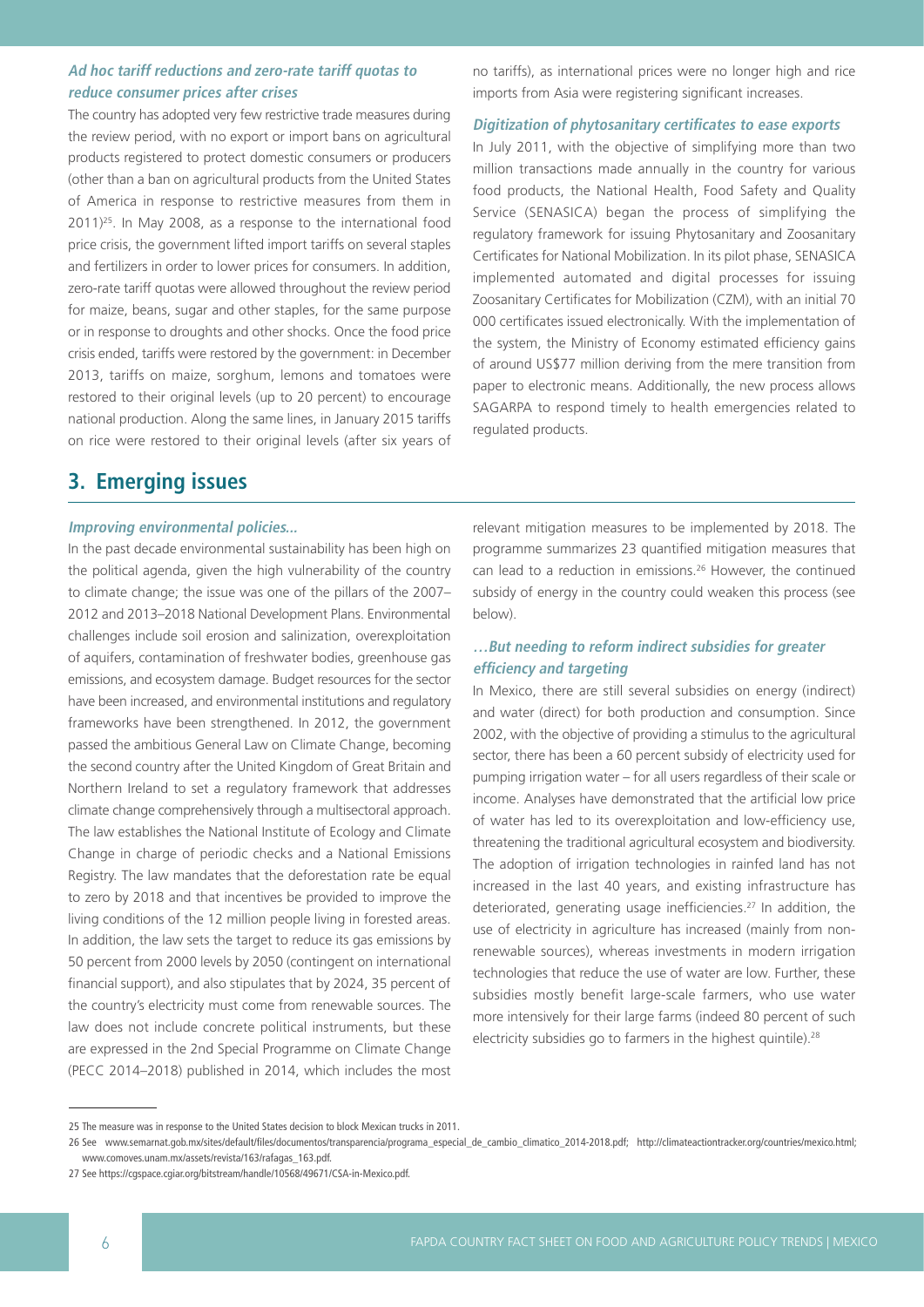## **Ad hoc tariff reductions and zero-rate tariff quotas to reduce consumer prices after crises**

The country has adopted very few restrictive trade measures during the review period, with no export or import bans on agricultural products registered to protect domestic consumers or producers (other than a ban on agricultural products from the United States of America in response to restrictive measures from them in  $2011$ )<sup>25</sup>. In May 2008, as a response to the international food price crisis, the government lifted import tariffs on several staples and fertilizers in order to lower prices for consumers. In addition, zero-rate tariff quotas were allowed throughout the review period for maize, beans, sugar and other staples, for the same purpose or in response to droughts and other shocks. Once the food price crisis ended, tariffs were restored by the government: in December 2013, tariffs on maize, sorghum, lemons and tomatoes were restored to their original levels (up to 20 percent) to encourage national production. Along the same lines, in January 2015 tariffs on rice were restored to their original levels (after six years of

### no tariffs), as international prices were no longer high and rice imports from Asia were registering significant increases.

#### **Digitization of phytosanitary certificates to ease exports**

In July 2011, with the objective of simplifying more than two million transactions made annually in the country for various food products, the National Health, Food Safety and Quality Service (SENASICA) began the process of simplifying the regulatory framework for issuing Phytosanitary and Zoosanitary Certificates for National Mobilization. In its pilot phase, SENASICA implemented automated and digital processes for issuing Zoosanitary Certificates for Mobilization (CZM), with an initial 70 000 certificates issued electronically. With the implementation of the system, the Ministry of Economy estimated efficiency gains of around US\$77 million deriving from the mere transition from paper to electronic means. Additionally, the new process allows SAGARPA to respond timely to health emergencies related to regulated products.

## **3. Emerging issues**

#### **Improving environmental policies...**

In the past decade environmental sustainability has been high on the political agenda, given the high vulnerability of the country to climate change; the issue was one of the pillars of the 2007– 2012 and 2013–2018 National Development Plans. Environmental challenges include soil erosion and salinization, overexploitation of aquifers, contamination of freshwater bodies, greenhouse gas emissions, and ecosystem damage. Budget resources for the sector have been increased, and environmental institutions and regulatory frameworks have been strengthened. In 2012, the government passed the ambitious General Law on Climate Change, becoming the second country after the United Kingdom of Great Britain and Northern Ireland to set a regulatory framework that addresses climate change comprehensively through a multisectoral approach. The law establishes the National Institute of Ecology and Climate Change in charge of periodic checks and a National Emissions Registry. The law mandates that the deforestation rate be equal to zero by 2018 and that incentives be provided to improve the living conditions of the 12 million people living in forested areas. In addition, the law sets the target to reduce its gas emissions by 50 percent from 2000 levels by 2050 (contingent on international financial support), and also stipulates that by 2024, 35 percent of the country's electricity must come from renewable sources. The law does not include concrete political instruments, but these are expressed in the 2nd Special Programme on Climate Change (PECC 2014–2018) published in 2014, which includes the most

relevant mitigation measures to be implemented by 2018. The programme summarizes 23 quantified mitigation measures that can lead to a reduction in emissions.26 However, the continued subsidy of energy in the country could weaken this process (see below).

### **…But needing to reform indirect subsidies for greater efficiency and targeting**

In Mexico, there are still several subsidies on energy (indirect) and water (direct) for both production and consumption. Since 2002, with the objective of providing a stimulus to the agricultural sector, there has been a 60 percent subsidy of electricity used for pumping irrigation water – for all users regardless of their scale or income. Analyses have demonstrated that the artificial low price of water has led to its overexploitation and low-efficiency use, threatening the traditional agricultural ecosystem and biodiversity. The adoption of irrigation technologies in rainfed land has not increased in the last 40 years, and existing infrastructure has deteriorated, generating usage inefficiencies.27 In addition, the use of electricity in agriculture has increased (mainly from nonrenewable sources), whereas investments in modern irrigation technologies that reduce the use of water are low. Further, these subsidies mostly benefit large-scale farmers, who use water more intensively for their large farms (indeed 80 percent of such electricity subsidies go to farmers in the highest quintile).<sup>28</sup>

<sup>25</sup> The measure was in response to the United States decision to block Mexican trucks in 2011.

<sup>26</sup> See www.semarnat.gob.mx/sites/default/files/documentos/transparencia/programa\_especial\_de\_cambio\_climatico\_2014-2018.pdf; http://climateactiontracker.org/countries/mexico.html; www.comoves.unam.mx/assets/revista/163/rafagas\_163.pdf.

<sup>27</sup> See https://cgspace.cgiar.org/bitstream/handle/10568/49671/CSA-in-Mexico.pdf.